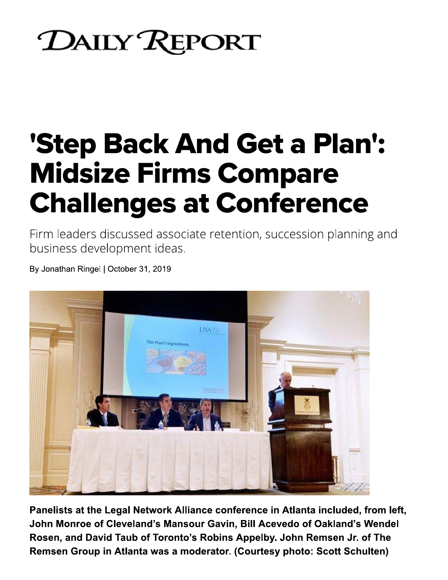## **DAILY REPORT**

## **'Step Back And Get a Plan': Midsize Firms Compare**

Firm leaders discussed associate retention, succession planning and business development ideas.



Panelists at the Legal Network Alliance conference in Atlanta included, from left, John Monroe of Cleveland's Mansour Gavin, Bill Acevedo of Oakland's Wendel Rosen, and David Taub of Toronto's Robins Appelby. John Remsen Jr. of The Remsen Group in Atlanta was a moderator. (Courtesy photo: Scott Schulten)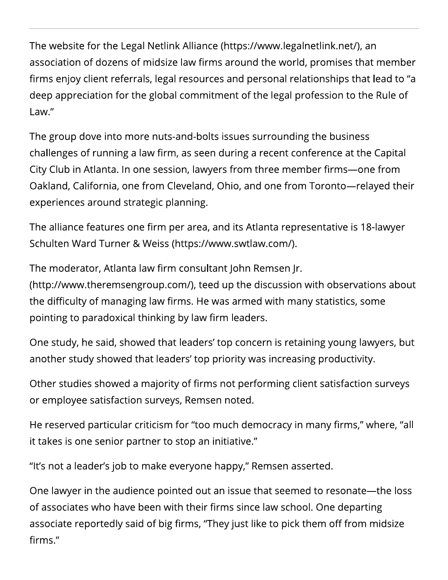The website for the Legal Netlink Alliance (https://www.legalnetlink.net/), an association of dozens of midsize law firms around the world, promises that member firms enjoy client referrals, legal resources and personal relationships that lead to "a deep appreciation for the global commitment of the legal profession to the Rule of Law."

The group dove into more nuts-and-bolts issues surrounding the business challenges of running a law firm, as seen during a recent conference at the Capital City Club in Atlanta. In one session, lawyers from three member firms-one from Oakland, California, one from Cleveland, Ohio, and one from Toronto-relayed their experiences around strategic planning.

The alliance features one firm per area, and its Atlanta representative is 18-lawyer Schulten Ward Turner & Weiss (https://www.swtlaw.com/).

The moderator, Atlanta law firm consultant John Remsen Jr.

(http://www.theremsengroup.com/), teed up the discussion with observations about the difficulty of managing law firms. He was armed with many statistics, some pointing to paradoxical thinking by law firm leaders.

One study, he said, showed that leaders' top concern is retaining young lawyers, but another study showed that leaders' top priority was increasing productivity.

Other studies showed a majority of firms not performing client satisfaction surveys or employee satisfaction surveys, Remsen noted.

He reserved particular criticism for "too much democracy in many firms," where, "all it takes is one senior partner to stop an initiative."

"It's not a leader's job to make everyone happy," Remsen asserted.

One lawyer in the audience pointed out an issue that seemed to resonate—the loss of associates who have been with their firms since law school. One departing associate reportedly said of big firms, "They just like to pick them off from midsize firms."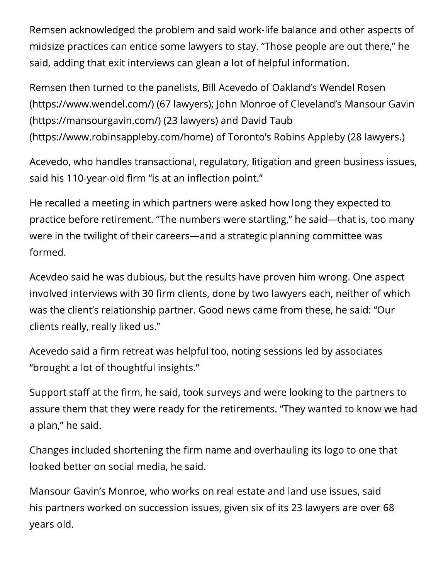Remsen acknowledged the problem and said work-life balance and other aspects of midsize practices can entice some lawyers to stay. "Those people are out there," he said, adding that exit interviews can glean a lot of helpful information.

Remsen then turned to the panelists, Bill Acevedo of Oakland's Wendel Rosen (https://www.wendel.com/) (67 lawyers); John Monroe of Cleveland's Mansour Gavin (https://mansourgavin.com/) (23 lawyers) and David Taub (https://www.robinsappleby.com/home) of Toronto's Robins Appleby (28 lawyers.)

Acevedo, who handles transactional, regulatory, litigation and green business issues, said his 110-year-old firm "is at an inflection point."

He recalled a meeting in which partners were asked how long they expected to practice before retirement. "The numbers were startling," he said—that is, too many were in the twilight of their careers—and a strategic planning committee was formed.

Acevdeo said he was dubious, but the results have proven him wrong. One aspect involved interviews with 30 firm clients, done by two lawyers each, neither of which was the client's relationship partner. Good news came from these, he said: "Our clients really, really liked us."

Acevedo said a firm retreat was helpful too, noting sessions led by associates "brought a lot of thoughtful insights."

Support staff at the firm, he said, took surveys and were looking to the partners to assure them that they were ready for the retirements. "They wanted to know we had a plan," he said.

Changes included shortening the firm name and overhauling its logo to one that looked better on social media, he said.

Mansour Gavin's Monroe, who works on real estate and land use issues, said his partners worked on succession issues, given six of its 23 lawyers are over 68 years old.